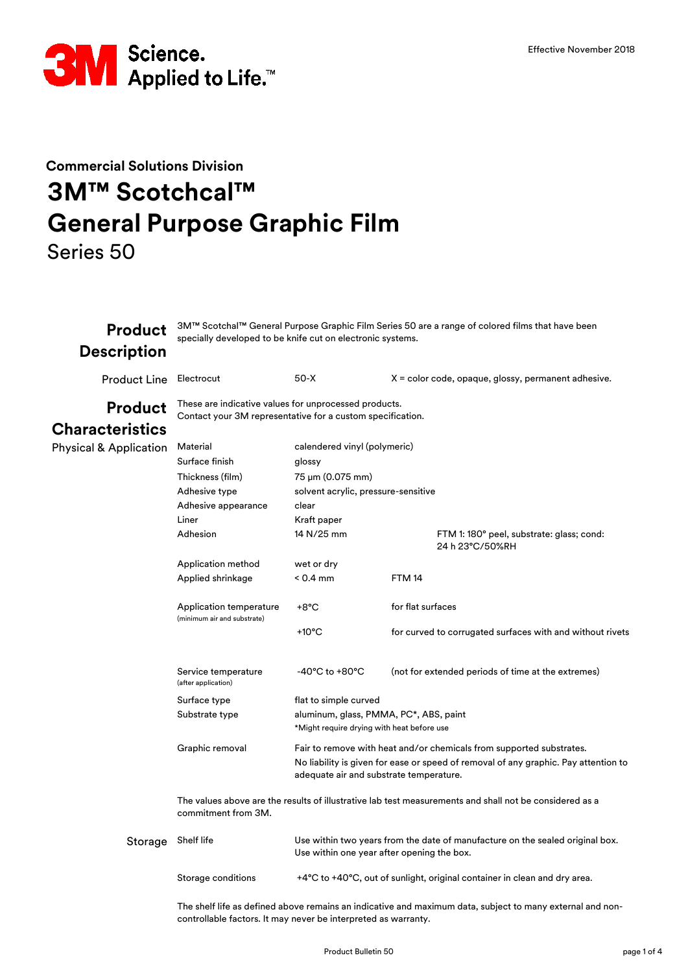

# **Commercial Solutions Division 3M™ Scotchcal™ General Purpose Graphic Film** Series 50

# **Description**

**Product** 3M™ Scotchal™ General Purpose Graphic Film Series 50 are a range of colored films that have been a range of colored films that have been specially developed to be knife cut on electronic systems.

| Product Line Electrocut           |                                                                                                                                                                             | $50-X$                                                                                                                                                                                                 | $X =$ color code, opaque, glossy, permanent adhesive.        |  |  |
|-----------------------------------|-----------------------------------------------------------------------------------------------------------------------------------------------------------------------------|--------------------------------------------------------------------------------------------------------------------------------------------------------------------------------------------------------|--------------------------------------------------------------|--|--|
| <b>Product</b>                    | These are indicative values for unprocessed products.<br>Contact your 3M representative for a custom specification.                                                         |                                                                                                                                                                                                        |                                                              |  |  |
| <b>Characteristics</b>            |                                                                                                                                                                             |                                                                                                                                                                                                        |                                                              |  |  |
| <b>Physical &amp; Application</b> | Material<br>calendered vinyl (polymeric)                                                                                                                                    |                                                                                                                                                                                                        |                                                              |  |  |
|                                   | Surface finish                                                                                                                                                              | glossy                                                                                                                                                                                                 |                                                              |  |  |
|                                   | Thickness (film)                                                                                                                                                            | 75 μm (0.075 mm)                                                                                                                                                                                       |                                                              |  |  |
|                                   | Adhesive type<br>solvent acrylic, pressure-sensitive                                                                                                                        |                                                                                                                                                                                                        |                                                              |  |  |
|                                   | Adhesive appearance                                                                                                                                                         | clear                                                                                                                                                                                                  |                                                              |  |  |
|                                   | Liner                                                                                                                                                                       | Kraft paper                                                                                                                                                                                            |                                                              |  |  |
|                                   | Adhesion                                                                                                                                                                    | 14 N/25 mm                                                                                                                                                                                             | FTM 1: 180° peel, substrate: glass; cond:<br>24 h 23°C/50%RH |  |  |
|                                   | Application method                                                                                                                                                          | wet or dry                                                                                                                                                                                             |                                                              |  |  |
|                                   | Applied shrinkage                                                                                                                                                           | $< 0.4$ mm                                                                                                                                                                                             | <b>FTM 14</b>                                                |  |  |
|                                   | Application temperature<br>(minimum air and substrate)                                                                                                                      | for flat surfaces<br>+8°C                                                                                                                                                                              |                                                              |  |  |
|                                   |                                                                                                                                                                             | $+10^{\circ}$ C                                                                                                                                                                                        | for curved to corrugated surfaces with and without rivets    |  |  |
|                                   | Service temperature<br>(after application)                                                                                                                                  | -40°C to +80°C                                                                                                                                                                                         | (not for extended periods of time at the extremes)           |  |  |
|                                   | Surface type                                                                                                                                                                | flat to simple curved                                                                                                                                                                                  |                                                              |  |  |
|                                   | Substrate type                                                                                                                                                              | aluminum, glass, PMMA, PC*, ABS, paint<br>*Might require drying with heat before use                                                                                                                   |                                                              |  |  |
|                                   | Graphic removal                                                                                                                                                             | Fair to remove with heat and/or chemicals from supported substrates.<br>No liability is given for ease or speed of removal of any graphic. Pay attention to<br>adequate air and substrate temperature. |                                                              |  |  |
|                                   | The values above are the results of illustrative lab test measurements and shall not be considered as a<br>commitment from 3M.                                              |                                                                                                                                                                                                        |                                                              |  |  |
| Storage                           | Shelf life                                                                                                                                                                  | Use within two years from the date of manufacture on the sealed original box.<br>Use within one year after opening the box.                                                                            |                                                              |  |  |
|                                   | Storage conditions                                                                                                                                                          | +4°C to +40°C, out of sunlight, original container in clean and dry area.                                                                                                                              |                                                              |  |  |
|                                   | The shelf life as defined above remains an indicative and maximum data, subject to many external and non-<br>controllable factors. It may never be interpreted as warranty. |                                                                                                                                                                                                        |                                                              |  |  |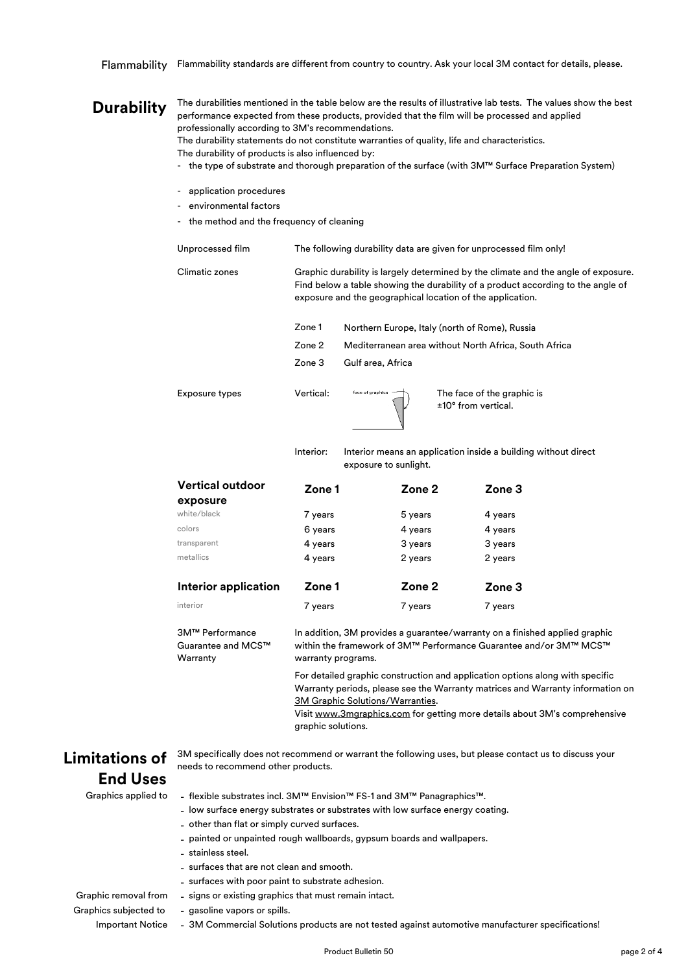Flammability Flammability standards are different from country to country. Ask your local 3M contact for details, please.

### **Durability**

The durabilities mentioned in the table below are the results of illustrative lab tests. The values show the best performance expected from these products, provided that the film will be processed and applied professionally according to 3M's recommendations.

The durability statements do not constitute warranties of quality, life and characteristics.

The durability of products is also influenced by:

- the type of substrate and thorough preparation of the surface (with 3M™ Surface Preparation System)
- application procedures
- environmental factors
- the method and the frequency of cleaning

| Unprocessed film                    | The following durability data are given for unprocessed film only!                                                                                                                                                                   |                                                       |                     |                                                                             |  |
|-------------------------------------|--------------------------------------------------------------------------------------------------------------------------------------------------------------------------------------------------------------------------------------|-------------------------------------------------------|---------------------|-----------------------------------------------------------------------------|--|
| Climatic zones                      | Graphic durability is largely determined by the climate and the angle of exposure.<br>Find below a table showing the durability of a product according to the angle of<br>exposure and the geographical location of the application. |                                                       |                     |                                                                             |  |
|                                     | Zone 1<br>Northern Europe, Italy (north of Rome), Russia                                                                                                                                                                             |                                                       |                     |                                                                             |  |
|                                     | Zone 2                                                                                                                                                                                                                               | Mediterranean area without North Africa, South Africa |                     |                                                                             |  |
|                                     | Zone 3                                                                                                                                                                                                                               | Gulf area, Africa                                     |                     |                                                                             |  |
| Exposure types                      | Vertical:                                                                                                                                                                                                                            | face of graphics                                      | ±10° from vertical. | The face of the graphic is                                                  |  |
|                                     | Interior:                                                                                                                                                                                                                            | exposure to sunlight.                                 |                     | Interior means an application inside a building without direct              |  |
| <b>Vertical outdoor</b><br>exposure | Zone 1                                                                                                                                                                                                                               | Zone 2                                                |                     | Zone 3                                                                      |  |
| white/black                         | 7 years                                                                                                                                                                                                                              | 5 years                                               |                     | 4 years                                                                     |  |
| colors                              | 6 years                                                                                                                                                                                                                              | 4 years                                               |                     | 4 years                                                                     |  |
| transparent                         | 4 years                                                                                                                                                                                                                              | 3 years                                               |                     | 3 years                                                                     |  |
| metallics                           | 4 years                                                                                                                                                                                                                              | 2 years                                               |                     | 2 years                                                                     |  |
| <b>Interior application</b>         | Zone 1                                                                                                                                                                                                                               | Zone 2                                                |                     | Zone 3                                                                      |  |
| interior                            | 7 years                                                                                                                                                                                                                              | 7 years                                               |                     | 7 years                                                                     |  |
| 3M™ Performance                     |                                                                                                                                                                                                                                      |                                                       |                     | In addition, 3M provides a guarantee/warranty on a finished applied graphic |  |

Guarantee and MCS™ Warranty within the framework of 3M™ Performance Guarantee and/or 3M™ MCS™ warranty programs.

> [For detailed](http://solutions.3m.com/wps/portal/3M/en_EU/3MGraphics/GraphicSolutions/Support/Warranties/) graphic construction and application options along with specific [Warranty p](http://solutions.3m.com/wps/portal/3M/en_EU/3MGraphics/GraphicSolutions/Support/Warranties/)eriods, please see the Warranty matrices and Warranty information on [3M Graphic Solutions/Warranties](http://solutions.3m.com/wps/portal/3M/en_EU/3MGraphics/GraphicSolutions/Support/Warranties/).

[Visit www.3mgraphics.com](http://solutions.3m.com/wps/portal/3M/en_EU/3MGraphics/?WT.mc_id=www.3m.eu/graphicsolutions) for getting more details about 3M's comprehensive [graphic solu](http://solutions.3m.com/wps/portal/3M/en_EU/3MGraphics/?WT.mc_id=www.3m.eu/graphicsolutions)tions.

#### **Limitations of End Uses**

Graphics applied to -

3M specifically does not recommend or warrant the following uses, but please contact us to discuss your needs to recommend other products.

- flexible substrates incl. 3M™ Envision™ FS-1 and 3M™ Panagraphics™.
- low surface energy substrates or substrates with low surface energy coating.
- other than flat or simply curved surfaces.
- painted or unpainted rough wallboards, gypsum boards and wallpapers.
- stainless steel.

- gasoline vapors or spills.

- surfaces that are not clean and smooth.
- surfaces with poor paint to substrate adhesion.
- signs or existing graphics that must remain intact.

Graphic removal from - Graphics subjected to -

Important Notice - 3M Commercial Solutions products are not tested against automotive manufacturer specifications!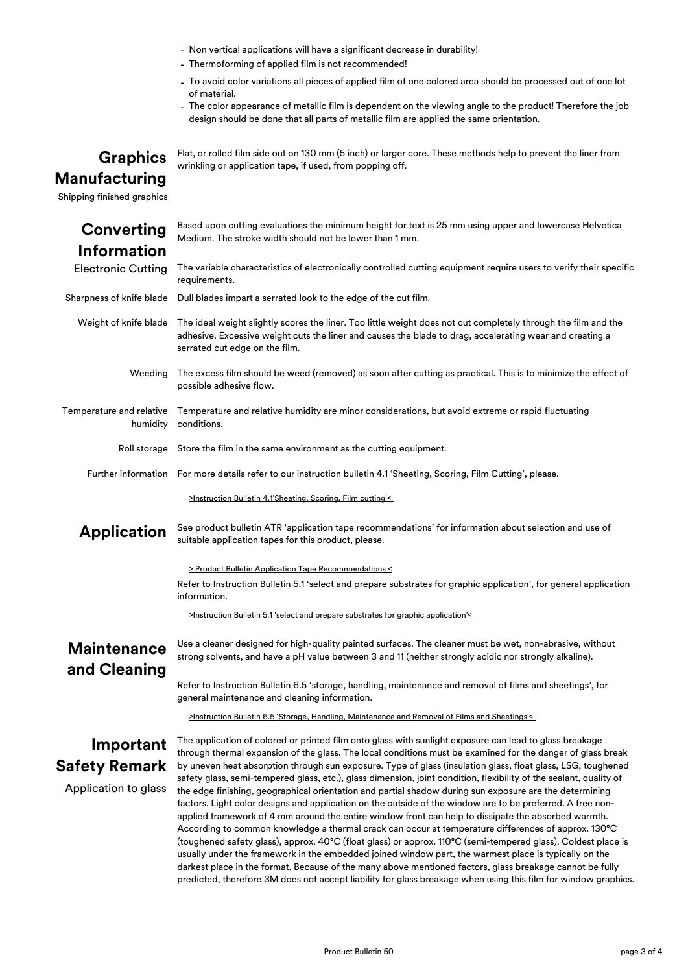- Non vertical applications will have a significant decrease in durability!
- Thermoforming of applied film is not recommended!

wrinkling or application tape, if used, from popping off.

- To avoid color variations all pieces of applied film of one colored area should be processed out of one lot of material.
- The color appearance of metallic film is dependent on the viewing angle to the product! Therefore the job design should be done that all parts of metallic film are applied the same orientation.

Flat, or rolled film side out on 130 mm (5 inch) or larger core. These methods help to prevent the liner from

## **Graphics Manufacturing**

Shipping finished graphics

# **Converting Information**

Based upon cutting evaluations the minimum height for text is 25 mm using upper and lowercase Helvetica Medium. The stroke width should not be lower than 1 mm.

| 1111V11110WV11                       |                                                                                                                                                                                                                                                                                                                                                                                                                                                                                                                                                           |  |  |
|--------------------------------------|-----------------------------------------------------------------------------------------------------------------------------------------------------------------------------------------------------------------------------------------------------------------------------------------------------------------------------------------------------------------------------------------------------------------------------------------------------------------------------------------------------------------------------------------------------------|--|--|
| <b>Electronic Cutting</b>            | The variable characteristics of electronically controlled cutting equipment require users to verify their specific<br>requirements.                                                                                                                                                                                                                                                                                                                                                                                                                       |  |  |
| Sharpness of knife blade             | Dull blades impart a serrated look to the edge of the cut film.                                                                                                                                                                                                                                                                                                                                                                                                                                                                                           |  |  |
| Weight of knife blade                | The ideal weight slightly scores the liner. Too little weight does not cut completely through the film and the<br>adhesive. Excessive weight cuts the liner and causes the blade to drag, accelerating wear and creating a<br>serrated cut edge on the film.                                                                                                                                                                                                                                                                                              |  |  |
| Weeding                              | The excess film should be weed (removed) as soon after cutting as practical. This is to minimize the effect of<br>possible adhesive flow.                                                                                                                                                                                                                                                                                                                                                                                                                 |  |  |
| Temperature and relative<br>humidity | Temperature and relative humidity are minor considerations, but avoid extreme or rapid fluctuating<br>conditions.                                                                                                                                                                                                                                                                                                                                                                                                                                         |  |  |
|                                      | Roll storage Store the film in the same environment as the cutting equipment.                                                                                                                                                                                                                                                                                                                                                                                                                                                                             |  |  |
|                                      | Further information For more details refer to our instruction bulletin 4.1 'Sheeting, Scoring, Film Cutting', please.                                                                                                                                                                                                                                                                                                                                                                                                                                     |  |  |
|                                      | >Instruction Bulletin 4.1'Sheeting, Scoring, Film cutting'<                                                                                                                                                                                                                                                                                                                                                                                                                                                                                               |  |  |
| <b>Application</b>                   | See product bulletin ATR 'application tape recommendations' for information about selection and use of<br>suitable application tapes for this product, please.                                                                                                                                                                                                                                                                                                                                                                                            |  |  |
|                                      | > Product Bulletin Application Tape Recommendations <                                                                                                                                                                                                                                                                                                                                                                                                                                                                                                     |  |  |
|                                      | Refer to Instruction Bulletin 5.1 'select and prepare substrates for graphic application', for general application<br>information.                                                                                                                                                                                                                                                                                                                                                                                                                        |  |  |
|                                      | >Instruction Bulletin 5.1 'select and prepare substrates for graphic application'<                                                                                                                                                                                                                                                                                                                                                                                                                                                                        |  |  |
| <b>Maintenance</b><br>and Cleaning   | Use a cleaner designed for high-quality painted surfaces. The cleaner must be wet, non-abrasive, without<br>strong solvents, and have a pH value between 3 and 11 (neither strongly acidic nor strongly alkaline).                                                                                                                                                                                                                                                                                                                                        |  |  |
|                                      | Refer to Instruction Bulletin 6.5 'storage, handling, maintenance and removal of films and sheetings', for<br>general maintenance and cleaning information.                                                                                                                                                                                                                                                                                                                                                                                               |  |  |
|                                      | >Instruction Bulletin 6.5 'Storage, Handling, Maintenance and Removal of Films and Sheetings'<                                                                                                                                                                                                                                                                                                                                                                                                                                                            |  |  |
| Important                            | The application of colored or printed film onto glass with sunlight exposure can lead to glass breakage<br>through thermal expansion of the glass. The local conditions must be examined for the danger of glass break                                                                                                                                                                                                                                                                                                                                    |  |  |
| <b>Safety Remark</b>                 | by uneven heat absorption through sun exposure. Type of glass (insulation glass, float glass, LSG, toughened                                                                                                                                                                                                                                                                                                                                                                                                                                              |  |  |
| Application to glass                 | safety glass, semi-tempered glass, etc.), glass dimension, joint condition, flexibility of the sealant, quality of<br>the edge finishing, geographical orientation and partial shadow during sun exposure are the determining<br>factors. Light color designs and application on the outside of the window are to be preferred. A free non-<br>applied framework of 4 mm around the entire window front can help to dissipate the absorbed warmth.<br>According to common knowledge a thermal crack can occur at temperature differences of approx. 130°C |  |  |

(toughened safety glass), approx. 40°C (float glass) or approx. 110°C (semi-tempered glass). Coldest place is usually under the framework in the embedded joined window part, the warmest place is typically on the